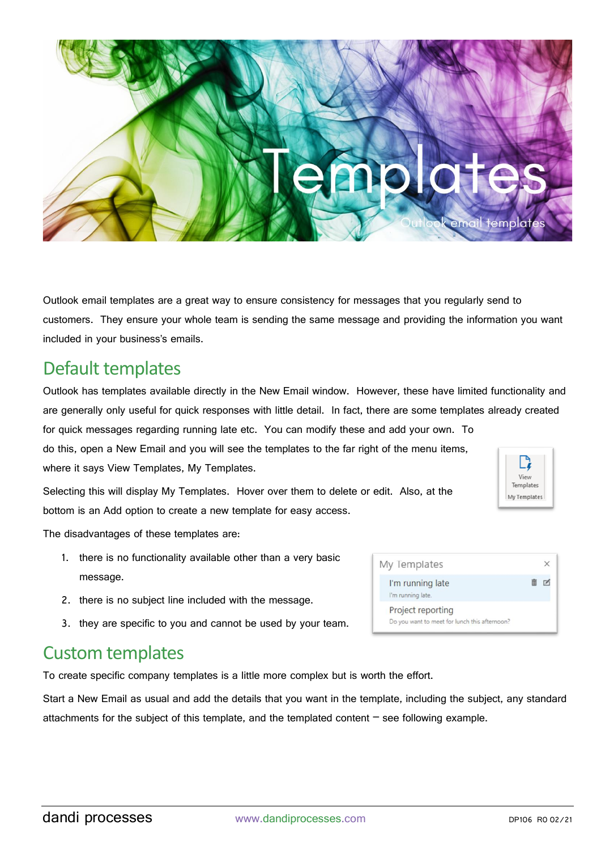

Outlook email templates are a great way to ensure consistency for messages that you regularly send to customers. They ensure your whole team is sending the same message and providing the information you want included in your business's emails.

## Default templates

Outlook has templates available directly in the New Email window. However, these have limited functionality and are generally only useful for quick responses with little detail. In fact, there are some templates already created for quick messages regarding running late etc. You can modify these and add your own. To do this, open a New Email and you will see the templates to the far right of the menu items,

where it says View Templates, My Templates.

Selecting this will display My Templates. Hover over them to delete or edit. Also, at the bottom is an Add option to create a new template for easy access.

The disadvantages of these templates are:

- 1. there is no functionality available other than a very basic message.
- 2. there is no subject line included with the message.
- 3. they are specific to you and cannot be used by your team.

## Custom templates

To create specific company templates is a little more complex but is worth the effort.

Start a New Email as usual and add the details that you want in the template, including the subject, any standard attachments for the subject of this template, and the templated content  $-$  see following example.

| My Templates                                                       |  |
|--------------------------------------------------------------------|--|
| I'm running late<br>I'm running late.                              |  |
| Project reporting<br>Do you want to meet for lunch this afternoon? |  |

View Templates Av Template